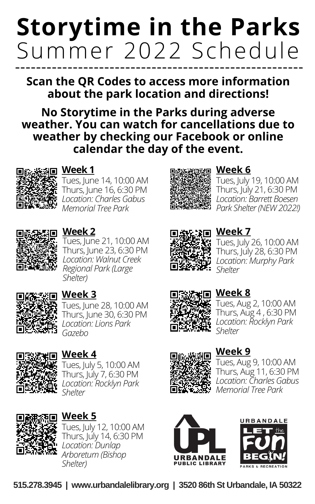# **Storytime in the Parks** Summer 2022 Schedule

**Scan the QR Codes to access more information about the park location and directions!**

**No Storytime in the Parks during adverse weather. You can watch for cancellations due to weather by checking our [Facebook](https://www.facebook.com/UrbandaleLibrary) or online calendar the day of the event.**



#### **Week 1**

Tues, June 14, 10:00 AM Thurs, June  $16, 6:30$  PM *Location: Charles Gabus Memorial Tree Park*



# **Week 6**

Tues, July 19, 10:00 AM Thurs, July 21, 6:30 PM *Location: Barrett Boesen Park Shelter(NEW 2022!)*



#### **Week 2**

Tues, June 21, 10:00 AM Thurs, June 23, 6:30 PM *Location: Walnut Creek Regional Park (Large Shelter)*



### **Week 3**

Tues, June 28, 10:00 AM Thurs, June 30, 6:30 PM *Location: Lions Park Gazebo*



#### **Week 4**

Tues, July 5, 10:00 AM Thurs, July 7, 6:30 PM *Location: Rocklyn Park Shelter*



#### **Week 5**

Tues, July 12, 10:00 AM Thurs, July 14, 6:30 PM *Location: Dunlap Arboretum (Bishop Shelter)*



# **新疆国** Week 7

Tues, July 26, 10:00 AM Thurs, July 28, 6:30 PM *Location: Murphy Park Shelter*



#### **Week 8**

Tues, Aug 2, 10:00 AM Thurs, Aug 4 , 6:30 PM *Location: Rocklyn Park Shelter*



#### **Week 9**

Tues, Aug 9, 10:00 AM Thurs, Aug 11, 6:30 PM *Location: Charles Gabus Memorial Tree Park*





**[515.278.3945](https://www.urbandalelibrary.org/) [|](https://www.urbandalelibrary.org/) [www.urbandalelibrary.org](https://www.urbandalelibrary.org/) [|](https://www.urbandalelibrary.org/) [3](https://www.urbandalelibrary.org/)520 86th St [Urbandale,](https://www.urbandalelibrary.org/) IA 50322**